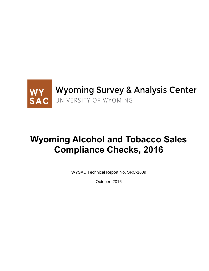

# **Wyoming Alcohol and Tobacco Sales Compliance Checks, 2016**

WYSAC Technical Report No. SRC-1609

October, 2016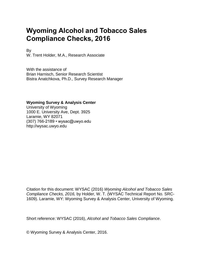# **Wyoming Alcohol and Tobacco Sales Compliance Checks, 2016**

By

W. Trent Holder, M.A., Research Associate

With the assistance of Brian Harnisch, Senior Research Scientist Bistra Anatchkova, Ph.D., Survey Research Manager

### **Wyoming Survey & Analysis Center**

University of Wyoming 1000 E. University Ave, Dept. 3925 Laramie, WY 82071 (307) 766-2189 • wysac@uwyo.edu http://wysac.uwyo.edu

Citation for this document: WYSAC (2016) *Wyoming Alcohol and Tobacco Sales Compliance Checks, 2016,* by Holder, W. T. (WYSAC Technical Report No. SRC-1609). Laramie, WY: Wyoming Survey & Analysis Center, University of Wyoming.

Short reference: WYSAC (2016), *Alcohol and Tobacco Sales Compliance*.

© Wyoming Survey & Analysis Center, 2016.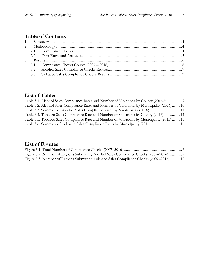## **Table of Contents**

## **List of Tables**

| Table 3.1. Alcohol Sales Compliance Rates and Number of Violations by County (2016)*         |  |
|----------------------------------------------------------------------------------------------|--|
| Table 3.2. Alcohol Sales Compliance Rates and Number of Violations by Municipality (2016) 10 |  |
| Table 3.3. Summary of Alcohol Sales Compliance Rates by Municipality (2016) 11               |  |
| Table 3.4. Tobacco Sales Compliance Rate and Number of Violations by County (2016)* 14       |  |
| Table 3.5. Tobacco Sales Compliance Rate and Number of Violations by Municipality (2015) 15  |  |
| Table 3.6. Summary of Tobacco Sales Compliance Rates by Municipality (2016)  16              |  |

# **List of Figures**

| Figure 3.2. Number of Regions Submitting Alcohol Sales Compliance Checks (2007–2016)    |  |
|-----------------------------------------------------------------------------------------|--|
| Figure 3.3. Number of Regions Submitting Tobacco Sales Compliance Checks (2007–2016) 12 |  |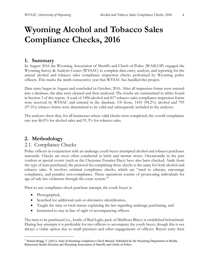# **Wyoming Alcohol and Tobacco Sales Compliance Checks, 2016**

### <span id="page-3-0"></span>**1. Summary**

In August 2016 the Wyoming Association of Sheriffs and Chiefs of Police (WASCOP) engaged the Wyoming Survey & Analysis Center (WYSAC) to complete data entry, analysis, and reporting for the annual alcohol and tobacco sales compliance inspection checks performed by Wyoming police officers. This marks the ninth consecutive year that WYSAC has handled this project.

Data entry began in August and concluded in October, 2016. After all inspection forms were entered into a database, the data were cleaned and then analyzed. The results are summarized in tables found in Section 3 of this report. A total of 1496 alcohol and 817 tobacco sales compliance inspection forms were received by WYSAC and entered in the database. Of those, 1410 (94.2%) alcohol and 795 (97.3%) tobacco forms were determined to be valid and subsequently included in the analyses.

The analyses show that, for all businesses where valid checks were completed, the overall compliance rate was 86.0% for alcohol sales and 91.3% for tobacco sales.

## <span id="page-3-1"></span>**2. Methodology**

### <span id="page-3-2"></span>2.1. Compliance Checks

Police officers in conjunction with an underage youth buyer attempted alcohol and tobacco purchases statewide. Checks are most often conducted at brick and mortar stores. Occasionally in the past vendors at special events (such as the Cheyenne Frontier Days) have also been checked. Aside from the type of item purchased, the protocol for completing these checks is the same for both alcohol and tobacco sales. It involves criminal compliance checks, which are "used to educate, encourage compliance, and penalize non-compliance. These operations consist of prosecuting individuals for age-of-sale law violations through the court system."<sup>1</sup>

Prior to any compliance check purchase attempt, the youth buyer is:

• Photographed,

 $\overline{a}$ 

- Searched for additional cash or alternative identification,
- Taught the state or local statute explaining the law regarding underage purchasing, and
- Instructed to stay in line of sight of accompanying officers

The item to be purchased (i.e., bottle of Bud Light, pack of Marlboro Blues) is established beforehand. During buy attempts it is preferable for two officers to accompany the youth buyer, though this is not always a viable option due to small precincts and other engagements of officers. Buyers carry their

<sup>1</sup> Nelson-Bragg, T. (2011). *State of Wyoming Compliance Check Manual.* Published by the Wyoming Department of Health, Behavioral Health Division and Wyoming Association of Sheriffs and Chiefs of Police.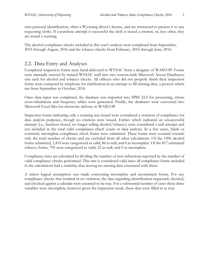own personal identification, often a Wyoming driver's license, and are instructed to present it to any requesting clerks. If a purchase attempt is successful the clerk is issued a citation, or, less often, they are issued a warning.

The alcohol compliance checks included in this year's analysis were completed from September, 2015 through August, 2016 and the tobacco checks from February, 2016 through June, 2016.

## <span id="page-4-0"></span>2.2. Data Entry and Analyses

Completed inspection forms were hand-delivered to WYSAC from a designee of WASCOP. Forms were manually entered by trained WYSAC staff into two custom-built Microsoft Access Databases; one each for alcohol and tobacco checks. All officers who did not properly finish their inspection forms were contacted by telephone for clarification in an attempt to fill missing data, a process which ran from September to October, 2016.

Once data input was completed, the database was imported into SPSS 22.0 for processing, where cross-tabulations and frequency tables were generated. Finally, the databases were converted into Microsoft Excel files for electronic delivery to WASCOP.

Inspection forms indicating only a warning was issued were considered a violation of compliance for data analysis purposes, though no citations were issued. Entries which indicated an unsuccessful attempt (i.e., business closed, no longer selling alcohol/tobacco) were considered a null attempt and not included in the total valid compliance check count or data analysis. In a few cases, blank or extremely incomplete compliance check forms were submitted. These forms were counted towards only the total number of checks and are excluded from all other calculations. Of the 1496 alcohol forms submitted, 1,410 were categorized as valid, 86 as null, and 0 as incomplete. Of the 817 submitted tobacco forms, 795 were categorized as valid, 22 as null, and 0 as incomplete.

Compliance rates are calculated by dividing the number of non-infractions reported by the number of valid compliance checks performed. This rate is considered valid since all compliance forms included in the calculations had a *resolution*, thus leaving no missing data associated with them.

A minor logical assumption was made concerning incomplete and inconsistent forms. For any compliance checks that resulted in no violation, the data regarding identification requested, checked, and checked against a calendar were assumed to be true. For a substantial number of cases these three variables were incomplete, however given the inspection result, these data were filled in as true.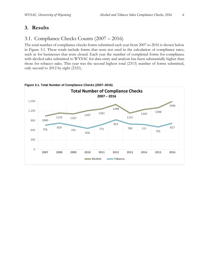## <span id="page-5-0"></span>**3. Results**

## <span id="page-5-1"></span>3.1. Compliance Checks Counts (2007 – 2016)

The total number of compliance checks forms submitted each year from 2007 to 2016 is shown below in Figure 3.1. These totals include forms that were not used in the calculation of compliance rates, such as for businesses that were closed. Each year the number of completed forms for compliance with alcohol sales submitted to WYSAC for data entry and analysis has been substantially higher than those for tobacco sales. This year was the second highest total (2313) number of forms submitted, only second to 2012 by eight (2321).



#### <span id="page-5-2"></span>**Figure 3.1. Total Number of Compliance Checks (2007–2016)**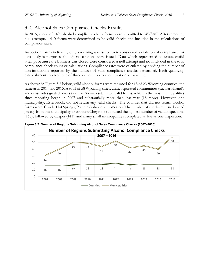## <span id="page-6-0"></span>3.2. Alcohol Sales Compliance Checks Results

In 2016, a total of 1496 alcohol compliance check forms were submitted to WYSAC. After removing null attempts, 1410 forms were determined to be valid checks and included in the calculations of compliance rates.

Inspection forms indicating only a warning was issued were considered a violation of compliance for data analysis purposes, though no citations were issued. Data which represented an unsuccessful attempt because the business was closed were considered a null attempt and not included in the total compliance check count or calculations. Compliance rates were calculated by dividing the number of non-infractions reported by the number of valid compliance checks performed. Each qualifying establishment received one of three values: no violation, citation, or warning.

As shown in Figure 3.2 below, valid alcohol forms were returned for 18 of 23 Wyoming counties, the same as in 2014 and 2015. A total of 58 Wyoming cities, unincorporated communities (such as Hiland), an[d census-designated places](http://en.wikipedia.org/wiki/Census-designated_place) (such as Alcova) submitted valid forms, which is the most municipalities since reporting began in 2007 and substantially more than last year (18 more). However, one municipality, Esterbrook, did not return any valid checks. The counties that did not return alcohol forms were: Crook, Hot Springs, Platte, Washakie, and Weston. The number of checks returned varied greatly from one municipality to another; Cheyenne submitted the highest number of valid inspections (160), followed by Casper (141), and many small municipalities completed as few as one inspection.



<span id="page-6-1"></span>**Figure 3.2. Number of Regions Submitting Alcohol Sales Compliance Checks (2007–2016)**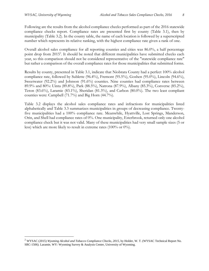$\overline{a}$ 

Following are the results from the alcohol compliance checks performed as part of the 2016 statewide compliance checks report. Compliance rates are presented first by county (Table 3.1), then by municipality (Table 3.2). In the county table, the name of each location is followed by a superscripted number which represents its relative ranking, with the highest compliance rate given a rank of one.

Overall alcohol sales compliance for all reporting counties and cities was 86.0%, a half percentage point drop from 2015<sup>2</sup>. It should be noted that different municipalities have submitted checks each year, so this comparison should not be considered representative of the "statewide compliance rate" but rather a comparison of the overall compliance rates for those municipalities that submitted forms.

Results by county, presented in Table 3.1, indicate that Niobrara County had a perfect 100% alcohol compliance rate, followed by Sublette (96.4%), Fremont (95.5%), Goshen (95.0%), Lincoln (94.6%), Sweetwater (92.2%) and Johnson (91.6%) counties. Nine counties had compliance rates between 89.9% and 80%: Uinta (89.8%), Park (88.5%), Natrona (87.9%), Albany (85.3%), Converse (85.2%), Teton (83.6%), Laramie (83.1%), Sheridan (81.3%), and Carbon (80.0%). The two least compliant counties were: Campbell (71.7%) and Big Horn (44.7%).

Table 3.2 displays the alcohol sales compliance rates and infractions for municipalities listed alphabetically and Table 3.3 summarizes municipalities in groups of decreasing compliance. Twentyfive municipalities had a 100% compliance rate. Meanwhile, Hyattville, Lost Springs, Manderson, Orin, and Shell had compliance rates of 0%. One municipality, Esterbrook, returned only one alcohol compliance check but it was not valid. Many of these municipalities had very small sample sizes (5 or less) which are more likely to result in extreme rates (100% or 0%).

<sup>&</sup>lt;sup>2</sup> WYSAC (2015) *Wyoming Alcohol and Tobacco Compliance Checks*, 2015, by Holder, W. T. (WYSAC Technical Report No. SRC-1506). Laramie, WY: Wyoming Survey & Analysis Center, University of Wyoming.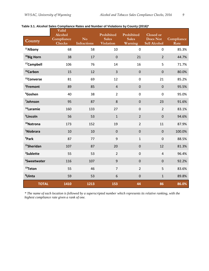| County                  | Valid<br>Alcohol<br>Compliance<br><b>Checks</b> | N <sub>o</sub><br><b>Infractions</b> | Prohibited<br><b>Sales</b><br>Violation | Prohibited<br><b>Sales</b><br>Warning | Closed or<br><b>Does Not</b><br>Sell Alcohol | Compliance<br>Rate |
|-------------------------|-------------------------------------------------|--------------------------------------|-----------------------------------------|---------------------------------------|----------------------------------------------|--------------------|
| <sup>11</sup> Albany    | 68                                              | 58                                   | 10                                      | $\mathbf 0$                           | $\mathbf 0$                                  | 85.3%              |
| <sup>18</sup> Big Horn  | 38                                              | 17                                   | $\mathbf 0$                             | 21                                    | $\overline{2}$                               | 44.7%              |
| <sup>17</sup> Campbell  | 106                                             | 76                                   | 14                                      | 16                                    | 5                                            | 71.7%              |
| <sup>16</sup> Carbon    | 15                                              | 12                                   | $\mathsf 3$                             | $\mathbf 0$                           | $\mathbf 0$                                  | 80.0%              |
| <sup>12</sup> Converse  | 81                                              | 69                                   | 12                                      | $\mathbf 0$                           | 21                                           | 85.2%              |
| <sup>3</sup> Fremont    | 89                                              | 85                                   | $\sqrt{4}$                              | $\boldsymbol{0}$                      | $\boldsymbol{0}$                             | 95.5%              |
| <sup>4</sup> Goshen     | 40                                              | 38                                   | $\overline{2}$                          | $\mathbf 0$                           | $\mathbf 0$                                  | 95.0%              |
| <sup>7</sup> Johnson    | 95                                              | 87                                   | 8                                       | $\mathbf 0$                           | 23                                           | 91.6%              |
| <sup>14</sup> Laramie   | 160                                             | 133                                  | 27                                      | $\mathbf 0$                           | $\overline{2}$                               | 83.1%              |
| <sup>5</sup> Lincoln    | 56                                              | 53                                   | $\mathbf 1$                             | $\overline{2}$                        | $\mathbf 0$                                  | 94.6%              |
| <sup>10</sup> Natrona   | 173                                             | 152                                  | 19                                      | $\overline{2}$                        | 11                                           | 87.9%              |
| <sup>1</sup> Niobrara   | 10                                              | 10                                   | $\overline{0}$                          | $\mathbf 0$                           | $\mathbf 0$                                  | 100.0%             |
| <sup>9</sup> Park       | 87                                              | 77                                   | 9                                       | $\mathbf{1}$                          | $\mathbf 0$                                  | 88.5%              |
| <sup>15</sup> Sheridan  | 107                                             | 87                                   | 20                                      | $\mathbf 0$                           | 12                                           | 81.3%              |
| <sup>2</sup> Sublette   | 55                                              | 53                                   | $\overline{2}$                          | $\boldsymbol{0}$                      | $\overline{4}$                               | 96.4%              |
| <sup>6</sup> Sweetwater | 116                                             | 107                                  | 9                                       | $\boldsymbol{0}$                      | $\boldsymbol{0}$                             | 92.2%              |
| <sup>13</sup> Teton     | 55                                              | 46                                   | $\overline{7}$                          | $\overline{2}$                        | 5                                            | 83.6%              |
| <sup>8</sup> Uinta      | 59                                              | 53                                   | 6                                       | $\mathbf 0$                           | $\mathbf{1}$                                 | 89.8%              |
| <b>TOTAL</b>            | 1410                                            | 1213                                 | 153                                     | 44                                    | 86                                           | 86.0%              |

<span id="page-8-0"></span>

| Table 3.1. Alcohol Sales Compliance Rates and Number of Violations by County (2016)* |  |  |  |  |
|--------------------------------------------------------------------------------------|--|--|--|--|
|--------------------------------------------------------------------------------------|--|--|--|--|

*\* The name of each location is followed by a superscripted number which represents its relative ranking, with the highest compliance rate given a rank of one.*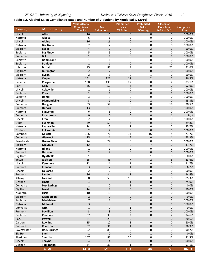<span id="page-9-0"></span>**Table 3.2. Alcohol Sales Compliance Rates and Number of Violations by Municipality (2016)**

|                     | <b>Valid Alcohol</b>            |                             |                               | Prohibited                       | Prohibited                     | Closed or                |                    |  |
|---------------------|---------------------------------|-----------------------------|-------------------------------|----------------------------------|--------------------------------|--------------------------|--------------------|--|
| County              | Municipality                    | Compliance<br><b>Checks</b> | N <sub>o</sub><br>Infractions | <b>Sales</b><br><b>Violation</b> | <b>Sales</b><br>Warning        | Does Not<br>Sell Alcohol | Compliance<br>Rate |  |
| Lincoln             | Afton                           | 16                          | 16                            | 0                                | $\mathbf 0$                    | $\mathbf{0}$             | 100.0%             |  |
| Natrona             | Alcova                          | 6                           | 6                             | 0                                | 0                              | 0                        | 100.0%             |  |
| Lincoln             | <b>Alpine</b>                   | 16                          | 16                            | $\mathbf 0$                      | $\mathbf 0$                    | $\overline{0}$           | 100.0%             |  |
| Natrona             | <b>Bar Nunn</b>                 | $\overline{2}$              | $\overline{2}$                | 0                                | $\mathbf 0$                    | 0                        | 100.0%             |  |
| <b>Big Horn</b>     | <b>Basin</b>                    | $\overline{4}$              | $\overline{2}$                | $\mathbf 0$                      | $\overline{2}$                 | $\mathbf{1}$             | 50.0%              |  |
| Sublette            | <b>Big Piney</b>                | 5                           | 5                             | 0                                | $\mathbf 0$                    | 0                        | 100.0%             |  |
| Converse            | Bill                            | $\mathbf{1}$                | $\mathbf{1}$                  | $\mathbf 0$                      | $\mathbf 0$                    | $\mathbf{1}$             | 100.0%             |  |
| Sublette            | <b>Bondurant</b>                | $\mathbf 1$                 | $\mathbf 1$                   | 0                                | $\mathbf 0$                    | 0                        | 100.0%             |  |
| Sublette            | <b>Boulder</b>                  | $\mathbf{1}$                | $\mathbf 1$                   | 0                                | $\mathbf 0$                    | $\mathbf 0$              | 100.0%             |  |
| Johnson             | <b>Buffalo</b>                  | 95                          | 87                            | 8                                | 0                              | 23                       | 91.6%              |  |
| <b>Big Horn</b>     | <b>Burlington</b>               | $\overline{2}$              | $\overline{2}$                | $\pmb{0}$                        | $\boldsymbol{0}$               | $\mathbf 0$              | 100.0%             |  |
| <b>Big Horn</b>     | <b>Byron</b>                    | $\overline{2}$<br>141       | $\mathbf{1}$<br>122           | $\mathbf 0$<br>17                | $\mathbf{1}$<br>$\overline{2}$ | 0<br>$\overline{7}$      | 50.0%<br>86.5%     |  |
| Natrona             | Casper                          |                             |                               |                                  |                                |                          |                    |  |
| Laramie             | Cheyenne                        | 160                         | 133<br>52                     | 27                               | $\mathbf 0$                    | $\overline{2}$           | 83.1%              |  |
| Park<br>Lincoln     | Cody<br><b>Cokeville</b>        | 56<br>$\mathbf{1}$          | $\mathbf{1}$                  | 4<br>0                           | 0<br>$\mathbf 0$               | 0<br>0                   | 92.9%<br>100.0%    |  |
| Sublette            | Cora                            | $\mathbf{1}$                | $1\,$                         | $\mathbf 0$                      | $\mathbf 0$                    | $\mathbf{1}$             | 100.0%             |  |
| Sublette            | <b>Daniel</b>                   | 3                           | 3                             | 0                                | $\mathbf 0$                    | 0                        | 100.0%             |  |
| Lincoln             | <b>Diamondville</b>             | 3                           | $\mathbf{1}$                  |                                  | $\overline{2}$                 | $\mathbf 0$              | 33.3%              |  |
|                     |                                 | 63                          | 57                            | 0<br>6                           | 0                              | 18                       | 90.5%              |  |
| Converse<br>Fremont | <b>Douglas</b><br><b>Dubois</b> | 13                          | 13                            | 0                                | $\boldsymbol{0}$               | $\mathbf 0$              | 100.0%             |  |
| Natrona             | Edgerton                        | 6                           | 6                             | 0                                | 0                              | 0                        | 100.0%             |  |
| Converse            | <b>Esterbrook</b>               | $\mathbf 0$                 | $\mathbf 0$                   | $\mathbf 0$                      | $\mathbf 0$                    | $\mathbf{1}$             | N/A                |  |
| Lincoln             | <b>Etna</b>                     | $\overline{2}$              | $\overline{2}$                | 0                                | $\mathbf 0$                    | 0                        | 100.0%             |  |
| Uinta               | <b>Evanston</b>                 | 59                          | 53                            | 6                                | $\mathbf{0}$                   | $\mathbf{1}$             | 89.8%              |  |
| Natrona             | Evansville                      | 14                          | 12                            | $\overline{2}$                   | $\mathbf 0$                    | $\overline{2}$           | 85.7%              |  |
| Goshen              | <b>Ft Laramie</b>               | $\overline{2}$              | $\overline{2}$                | $\mathbf 0$                      | $\overline{0}$                 | $\mathbf 0$              | 100.0%             |  |
| Campbell            | Gillette                        | 106                         | 76                            | 14                               | 16                             | 5                        | 71.7%              |  |
| Converse            | <b>Glenrock</b>                 | 15                          | 11                            | $\overline{4}$                   | $\mathbf 0$                    | $1\,$                    | 73.3%              |  |
| Sweetwater          | <b>Green River</b>              | 24                          | 24                            | 0                                | 0                              | 0                        | 100.0%             |  |
| <b>Big Horn</b>     | Greybull                        | 12                          | 5                             | $\pmb{0}$                        | 7                              | 0                        | 41.7%              |  |
| Natrona             | Hiland                          | $\mathbf{1}$                | $\mathbf{1}$                  | 0                                | 0                              | $\mathbf{1}$             | 100.0%             |  |
| Fremont             | <b>Hudson</b>                   | $\overline{2}$              | $\overline{2}$                | $\pmb{0}$                        | 0                              | $\mathbf 0$              | 100.0%             |  |
| <b>Big Horn</b>     | <b>Hyattville</b>               | $\mathbf{1}$                | 0                             | 0                                | $\mathbf{1}$                   | 0                        | 0.0%               |  |
| Teton               | Jackson                         | 55                          | 46                            | $\overline{7}$                   | $\overline{2}$                 | 5                        | 83.6%              |  |
| Lincoln             | Kemmerer                        | 12                          | $11\,$                        | $\mathbf{1}$                     | $\boldsymbol{0}$               | 0                        | 91.7%              |  |
| Fremont             | Kinnear                         | 3                           | $\overline{2}$                | $\mathbf{1}$                     | $\mathbf 0$                    | 0                        | 66.7%              |  |
| Lincoln             | La Barge                        | $\overline{\mathbf{c}}$     | $\overline{2}$                | $\boldsymbol{0}$                 | 0                              | 0                        | 100.0%             |  |
| Fremont             | Lander                          | 36                          | 34                            | $\overline{2}$                   | $\overline{0}$                 | $\mathbf{0}$             | 94.4%              |  |
| Albany              | Laramie                         | 68                          | 58                            | 10                               | 0                              | 0                        | 85.3%              |  |
| Goshen              | Lingle                          | $\overline{\mathbf{4}}$     | 3                             | $\mathbf 1$                      | $\boldsymbol{0}$               | 0                        | 75.0%              |  |
| Converse            | <b>Lost Springs</b>             | $\mathbf{1}$                | 0                             | $\mathbf{1}$                     | $\pmb{0}$                      | 0                        | 0.0%               |  |
| <b>Big Horn</b>     | Lovell                          | 14                          | $\overline{7}$                | 0                                | $\overline{7}$                 | $\mathbf{1}$             | 50.0%              |  |
| Niobrara            | Lusk                            | 10                          | 10                            | 0                                | $\boldsymbol{0}$               | 0                        | 100.0%             |  |
| <b>Big Horn</b>     | <b>Manderson</b>                | $\overline{2}$              | $\mathbf 0$                   | $\pmb{0}$                        | $\overline{2}$                 | 0                        | 0.0%               |  |
| Sublette            | <b>Marbleton</b>                | 7                           | 7                             | $\pmb{0}$                        | $\pmb{0}$                      | $\mathbf{1}$             | 100.0%             |  |
| Natrona             | <b>Midwest</b>                  | 3                           | 3                             | $\boldsymbol{0}$                 | $\boldsymbol{0}$               | $\mathbf{1}$             | 100.0%             |  |
| Converse            | Orin                            | $\mathbf{1}$                | $\pmb{0}$                     | $\mathbf{1}$                     | $\mathbf 0$                    | 0                        | 0.0%               |  |
| Fremont             | <b>Pavillion</b>                | 3                           | $\mathsf 3$                   | $\pmb{0}$                        | $\boldsymbol{0}$               | 0                        | 100.0%             |  |
| Sublette            | Pinedale                        | 37                          | 35                            | $\overline{2}$                   | $\mathbf 0$                    | $\overline{2}$           | 94.6%              |  |
| Park                | <b>Powell</b>                   | 31                          | 25                            | 5                                | $\mathbf{1}$                   | 0                        | 80.6%              |  |
| Carbon              | <b>Rawlins</b>                  | 15                          | 12                            | 3                                | $\pmb{0}$                      | 0                        | 80.0%              |  |
| Fremont             | Riverton                        | 32                          | 31                            | $\mathbf{1}$                     | $\mathbf 0$                    | 0                        | 96.9%              |  |
| Sweetwater          | <b>Rock Springs</b>             | 92                          | 83                            | 9                                | $\mathbf 0$                    | 0                        | 90.2%              |  |
| <b>Big Horn</b>     | <b>Shell</b>                    | $\mathbf{1}$                | $\mathbf 0$                   | 0                                | $\mathbf{1}$                   | 0                        | 0.0%               |  |
| Sheridan            | Sheridan                        | 107                         | 87                            | 20                               | 0                              | 12                       | 81.3%              |  |
| Lincoln             | <b>Thayne</b>                   | $\overline{4}$              | $\overline{4}$                | 0                                | $\mathbf 0$                    | 0                        | 100.0%             |  |
| Goshen              | Torrington                      | 34                          | 33                            | $\mathbf{1}$                     | 0                              | 0                        | 97.1%              |  |
|                     | <b>TOTAL</b>                    | 1410                        | 1213                          | 153                              | 44                             | 86                       | 86.0%              |  |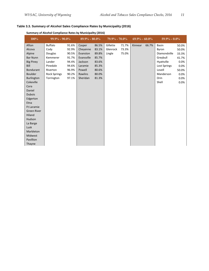#### <span id="page-10-0"></span>**Table 3.3. Summary of Alcohol Sales Compliance Rates by Municipality (2016)**

| 100%                                                                                                                                                                                                    | $99.9\% - 90.0\%$                                                                                      |                                                                      | $89.9\% - 80.0\%$                                                                       |                                                                      | $79.9\%$ - $70.0\%$            |                         | $69.9\% - 60.0\%$ |       | $59.9\% - 0.0\%$                                                                                |                                                                   |
|---------------------------------------------------------------------------------------------------------------------------------------------------------------------------------------------------------|--------------------------------------------------------------------------------------------------------|----------------------------------------------------------------------|-----------------------------------------------------------------------------------------|----------------------------------------------------------------------|--------------------------------|-------------------------|-------------------|-------|-------------------------------------------------------------------------------------------------|-------------------------------------------------------------------|
| Afton<br>Alcova<br>Alpine<br><b>Bar Nunn</b><br><b>Big Piney</b><br>Bill<br><b>Bondurant</b><br><b>Boulder</b>                                                                                          | <b>Buffalo</b><br>Cody<br>Douglas<br>Kemmerer<br>Lander<br>Pinedale<br>Riverton<br><b>Rock Springs</b> | 91.6%<br>92.9%<br>90.5%<br>91.7%<br>94.4%<br>94.6%<br>96.9%<br>90.2% | Casper<br>Cheyenne<br>Evanston<br>Evansville<br>Jackson<br>Laramie<br>Powell<br>Rawlins | 86.5%<br>83.1%<br>89.8%<br>85.7%<br>83.6%<br>85.3%<br>80.6%<br>80.0% | Gillette<br>Glenrock<br>Lingle | 71.7%<br>73.3%<br>75.0% | Kinnear           | 66.7% | Basin<br>Byron<br>Diamondville<br>Greybull<br>Hyattville<br>Lost Springs<br>Lovell<br>Manderson | 50.0%<br>50.0%<br>33.3%<br>41.7%<br>0.0%<br>0.0%<br>50.0%<br>0.0% |
| <b>Burlington</b><br>Cokeville<br>Cora<br>Daniel<br><b>Dubois</b><br>Edgerton<br>Etna<br><b>Ft Laramie</b><br><b>Green River</b><br>Hiland<br>Hudson<br>La Barge<br>Lusk<br>Marbleton<br><b>Midwest</b> | Torrington                                                                                             | 97.1%                                                                | Sheridan                                                                                | 81.3%                                                                |                                |                         |                   |       | Orin<br>Shell                                                                                   | 0.0%<br>0.0%                                                      |
| Pavillion<br>Thayne                                                                                                                                                                                     |                                                                                                        |                                                                      |                                                                                         |                                                                      |                                |                         |                   |       |                                                                                                 |                                                                   |

#### **Summary of Alcohol Compliance Rates by Municipality (2016)**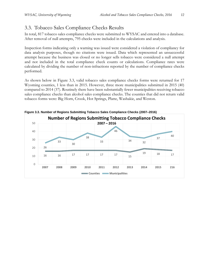## <span id="page-11-0"></span>3.3. Tobacco Sales Compliance Checks Results

In total, 817 tobacco sales compliance checks were submitted to WYSAC and entered into a database. After removal of null attempts, 795 checks were included in the calculations and analysis.

Inspection forms indicating only a warning was issued were considered a violation of compliancy for data analysis purposes, though no citations were issued. Data which represented an unsuccessful attempt because the business was closed or no longer sells tobacco were considered a null attempt and not included in the total compliance check counts or calculations. Compliance rates were calculated by dividing the number of non-infractions reported by the number of compliance checks performed.

As shown below in Figure 3.3, valid tobacco sales compliance checks forms were returned for 17 Wyoming counties, 1 less than in 2015. However, three more municipalities submitted in 2015 (40) compared to 2014 (37). Routinely there have been substantially fewer municipalities receiving tobacco sales compliance checks than alcohol sales compliance checks. The counties that did not return valid tobacco forms were: Big Horn, Crook, Hot Springs, Platte, Washakie, and Weston.



<span id="page-11-1"></span>**Figure 3.3. Number of Regions Submitting Tobacco Sales Compliance Checks (2007–2016)**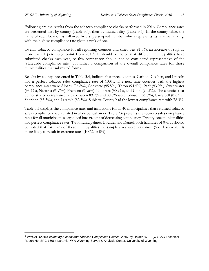$\overline{a}$ 

Following are the results from the tobacco compliance checks performed in 2016. Compliance rates are presented first by county (Table 3.4), then by municipality (Table 3.5). In the county table, the name of each location is followed by a superscripted number which represents its relative ranking, with the highest compliance rate given a rank of one.

Overall tobacco compliance for all reporting counties and cities was 91.3%, an increase of slightly more than 1 percentage point from 2015<sup>3</sup>. It should be noted that different municipalities have submitted checks each year, so this comparison should not be considered representative of the "statewide compliance rate" but rather a comparison of the overall compliance rates for those municipalities that submitted forms.

Results by county, presented in Table 3.4, indicate that three counties, Carbon, Goshen, and Lincoln had a perfect tobacco sales compliance rate of 100%. The next nine counties with the highest compliance rates were Albany (96.8%), Converse (95.5%), Teton (94.4%), Park (93.9%), Sweetwater  $(93.7\%)$ , Natrona  $(91.7\%)$ , Fremont  $(91.6\%)$ , Niobrara  $(90.9\%)$ , and Uinta  $(90.2\%)$ . The counties that demonstrated compliance rates between 89.9% and 80.0% were Johnson (86.6%), Campbell (85.7%), Sheridan (83.3%), and Laramie (82.5%). Sublette County had the lowest compliance rate with 78.3%.

Table 3.5 displays the compliance rates and infractions for all 40 municipalities that returned tobacco sales compliance checks, listed in alphabetical order. Table 3.6 presents the tobacco sales compliance rates for all municipalities organized into groups of decreasing compliancy. Twenty-one municipalities had perfect compliance rates. Two municipalities, Boulder and Daniel, both had rates of 0%. It should be noted that for many of these municipalities the sample sizes were very small (5 or less) which is more likely to result in extreme rates  $(100\% \text{ or } 0\%)$ .

<sup>3</sup> WYSAC (2015) *Wyoming Alcohol and Tobacco Compliance Checks, 2015,* by Holder, W. T. (WYSAC Technical Report No. SRC-1506). Laramie, WY: Wyoming Survey & Analysis Center, University of Wyoming.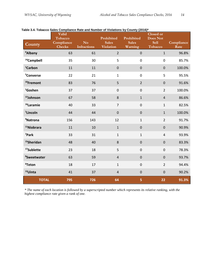| County                  | Valid<br>Tobacco<br>Compliance<br><b>Checks</b> | N <sub>o</sub><br><b>Infractions</b> | $\frac{1}{2}$<br>Prohibited<br><b>Sales</b><br><b>Violation</b> | <br>Prohibited<br><b>Sales</b><br>Warning | <b>Closed or</b><br><b>Does Not</b><br><b>Sell</b><br>Tobacco | Compliance<br>Rate |
|-------------------------|-------------------------------------------------|--------------------------------------|-----------------------------------------------------------------|-------------------------------------------|---------------------------------------------------------------|--------------------|
| <sup>4</sup> Albany     | 63                                              | 61                                   | $\overline{2}$                                                  | $\pmb{0}$                                 | $\mathbf{1}$                                                  | 96.8%              |
| <sup>14</sup> Campbell  | 35                                              | 30                                   | 5                                                               | $\mathbf 0$                               | $\mathbf 0$                                                   | 85.7%              |
| <sup>1</sup> Carbon     | 11                                              | 11                                   | $\boldsymbol{0}$                                                | $\mathbf 0$                               | $\mathbf 0$                                                   | 100.0%             |
| <sup>5</sup> Converse   | 22                                              | 21                                   | $\mathbf 1$                                                     | $\pmb{0}$                                 | 5                                                             | 95.5%              |
| <sup>10</sup> Fremont   | 83                                              | 76                                   | 5                                                               | $\overline{2}$                            | $\mathbf 0$                                                   | 91.6%              |
| <sup>1</sup> Goshen     | 37                                              | 37                                   | $\boldsymbol{0}$                                                | $\pmb{0}$                                 | $\overline{2}$                                                | 100.0%             |
| 13Johnson               | 67                                              | 58                                   | 8                                                               | $\mathbf{1}$                              | $\overline{4}$                                                | 86.6%              |
| <sup>16</sup> Laramie   | 40                                              | 33                                   | $\overline{7}$                                                  | $\pmb{0}$                                 | $\mathbf{1}$                                                  | 82.5%              |
| <sup>1</sup> Lincoln    | 44                                              | 44                                   | $\mathbf 0$                                                     | $\pmb{0}$                                 | $\mathbf{1}$                                                  | 100.0%             |
| <sup>9</sup> Natrona    | 156                                             | 143                                  | 12                                                              | $\mathbf 1$                               | $\overline{2}$                                                | 91.7%              |
| <sup>11</sup> Niobrara  | 11                                              | 10                                   | $\mathbf{1}$                                                    | $\mathbf 0$                               | $\mathbf 0$                                                   | 90.9%              |
| <sup>7</sup> Park       | 33                                              | 31                                   | $\mathbf{1}$                                                    | $\mathbf{1}$                              | $\overline{4}$                                                | 93.9%              |
| <sup>15</sup> Sheridan  | 48                                              | 40                                   | $\bf 8$                                                         | $\pmb{0}$                                 | $\boldsymbol{0}$                                              | 83.3%              |
| <sup>17</sup> Sublette  | 23                                              | 18                                   | 5                                                               | $\pmb{0}$                                 | $\boldsymbol{0}$                                              | 78.3%              |
| <sup>8</sup> Sweetwater | 63                                              | 59                                   | $\overline{4}$                                                  | $\pmb{0}$                                 | $\mathbf 0$                                                   | 93.7%              |
| <sup>6</sup> Teton      | 18                                              | 17                                   | $\mathbf{1}$                                                    | $\pmb{0}$                                 | $\overline{2}$                                                | 94.4%              |
| <sup>12</sup> Uinta     | 41                                              | 37                                   | $\overline{4}$                                                  | $\pmb{0}$                                 | $\boldsymbol{0}$                                              | 90.2%              |
| <b>TOTAL</b>            | 795                                             | 726                                  | 64                                                              | 5                                         | 22                                                            | 91.3%              |

<span id="page-13-0"></span>**Table 3.4. Tobacco Sales Compliance Rate and Number of Violations by County (2016)\***

*\* The name of each location is followed by a superscripted number which represents its relative ranking, with the highest compliance rate given a rank of one.*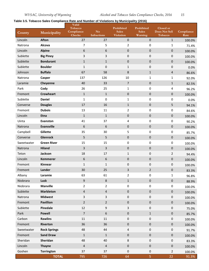### <span id="page-14-0"></span>**Table 3.5. Tobacco Sales Compliance Rate and Number of Violations by Municipality (2016)**

| County     | Municipality        | Valid<br>Tobacco<br>Compliance<br>Checks | N <sub>o</sub><br><b>Infractions</b> | Prohibited<br><b>Sales</b><br>Violation | Prohibited<br><b>Sales</b><br>Warning | Closed or<br>Does Not Sell<br>Tobacco | Compliance<br>Rate |
|------------|---------------------|------------------------------------------|--------------------------------------|-----------------------------------------|---------------------------------------|---------------------------------------|--------------------|
| Lincoln    | <b>Afton</b>        | 27                                       | 27                                   | $\pmb{0}$                               | $\mathbf 0$                           | $\mathbf{1}$                          | 100.0%             |
| Natrona    | <b>Alcova</b>       | 7                                        | 5                                    | $\overline{2}$                          | 0                                     | $\mathbf{1}$                          | 71.4%              |
| Lincoln    | <b>Alpine</b>       | 6                                        | 6                                    | $\pmb{0}$                               | $\mathbf 0$                           | $\mathbf 0$                           | 100.0%             |
| Sublette   | <b>Big Piney</b>    | 3                                        | 3                                    | 0                                       | 0                                     | 0                                     | 100.0%             |
| Sublette   | <b>Bondurant</b>    | $\mathbf{1}$                             | $\mathbf{1}$                         | $\boldsymbol{0}$                        | $\mathbf 0$                           | $\pmb{0}$                             | 100.0%             |
| Sublette   | <b>Boulder</b>      | $\mathbf{1}$                             | $\pmb{0}$                            | $\mathbf{1}$                            | 0                                     | 0                                     | 0.0%               |
| Johnson    | <b>Buffalo</b>      | 67                                       | 58                                   | 8                                       | $\mathbf{1}$                          | $\overline{4}$                        | 86.6%              |
| Natrona    | Casper              | 137                                      | 126                                  | 10                                      | $\mathbf{1}$                          | $\mathbf{1}$                          | 92.0%              |
| Laramie    | Cheyenne            | 40                                       | 33                                   | $\overline{7}$                          | $\pmb{0}$                             | $\mathbf{1}$                          | 82.5%              |
| Park       | Cody                | 26                                       | 25                                   | 1                                       | 0                                     | 4                                     | 96.2%              |
| Fremont    | <b>Crowheart</b>    | $\mathbf 1$                              | $\mathbf 1$                          | $\pmb{0}$                               | $\pmb{0}$                             | $\pmb{0}$                             | 100.0%             |
| Sublette   | <b>Daniel</b>       | $\mathbf{1}$                             | 0                                    | $\mathbf{1}$                            | 0                                     | $\pmb{0}$                             | 0.0%               |
| Converse   | <b>Douglas</b>      | 17                                       | 16                                   | $\mathbf{1}$                            | $\pmb{0}$                             | 5                                     | 94.1%              |
| Fremont    | <b>Dubois</b>       | 13                                       | 11                                   | 2                                       | 0                                     | 0                                     | 84.6%              |
| Lincoln    | <b>Etna</b>         | $1\,$                                    | $\mathbf{1}$                         | $\mathbf 0$                             | $\pmb{0}$                             | $\pmb{0}$                             | 100.0%             |
| Uinta      | Evanston            | 41                                       | 37                                   | 4                                       | 0                                     | 0                                     | 90.2%              |
| Natrona    | <b>Evansville</b>   | 6                                        | 6                                    | $\pmb{0}$                               | $\pmb{0}$                             | $\pmb{0}$                             | 100.0%             |
| Campbell   | Gillette            | 35                                       | 30                                   | 5                                       | 0                                     | 0                                     | 85.7%              |
| Converse   | <b>Glenrock</b>     | 5                                        | 5                                    | $\pmb{0}$                               | $\pmb{0}$                             | $\pmb{0}$                             | 100.0%             |
| Sweetwater | <b>Green River</b>  | 15                                       | 15                                   | $\pmb{0}$                               | 0                                     | $\pmb{0}$                             | 100.0%             |
| Natrona    | <b>Hiland</b>       | 3                                        | 3                                    | 0                                       | $\mathbf{0}$                          | $\pmb{0}$                             | 100.0%             |
| Teton      | Jackson             | 18                                       | 17                                   | $\mathbf{1}$                            | 0                                     | $\overline{2}$                        | 94.4%              |
| Lincoln    | <b>Kemmerer</b>     | 6                                        | 6                                    | $\pmb{0}$                               | $\pmb{0}$                             | $\pmb{0}$                             | 100.0%             |
| Fremont    | <b>Kinnear</b>      | 1                                        | $\mathbf{1}$                         | 0                                       | $\pmb{0}$                             | 0                                     | 100.0%             |
| Fremont    | Lander              | 30                                       | 25                                   | 3                                       | $\overline{2}$                        | $\boldsymbol{0}$                      | 83.3%              |
| Albany     | Laramie             | 63                                       | 61                                   | $\overline{2}$                          | 0                                     | 1                                     | 96.8%              |
| Niobrara   | Lusk                | 9                                        | $\,8\,$                              | $\mathbf{1}$                            | $\pmb{0}$                             | $\pmb{0}$                             | 88.9%              |
| Niobrara   | <b>Manville</b>     | $\overline{2}$                           | $\overline{2}$                       | 0                                       | 0                                     | $\pmb{0}$                             | 100.0%             |
| Sublette   | <b>Marbleton</b>    | $\overline{\mathbf{4}}$                  | $\overline{\mathbf{4}}$              | $\pmb{0}$                               | $\pmb{0}$                             | $\pmb{0}$                             | 100.0%             |
| Natrona    | <b>Midwest</b>      | 3                                        | 3                                    | $\pmb{0}$                               | $\pmb{0}$                             | $\pmb{0}$                             | 100.0%             |
| Fremont    | <b>Pavillion</b>    | $\overline{2}$                           | $\overline{2}$                       | $\pmb{0}$                               | $\pmb{0}$                             | $\pmb{0}$                             | 100.0%             |
| Sublette   | <b>Pinedale</b>     | 12                                       | 9                                    | $\overline{3}$                          | $\pmb{0}$                             | $\pmb{0}$                             | 75.0%              |
| Park       | <b>Powell</b>       | $\overline{7}$                           | 6                                    | $\pmb{0}$                               | $\mathbf 1$                           | $\pmb{0}$                             | 85.7%              |
| Carbon     | <b>Rawlins</b>      | 11                                       | $11\,$                               | $\pmb{0}$                               | $\pmb{0}$                             | $\pmb{0}$                             | 100.0%             |
| Fremont    | Riverton            | 36                                       | 36                                   | $\pmb{0}$                               | $\pmb{0}$                             | $\pmb{0}$                             | 100.0%             |
| Sweetwater | <b>Rock Springs</b> | 48                                       | 44                                   | 4                                       | $\pmb{0}$                             | $\pmb{0}$                             | 91.7%              |
| Fremont    | <b>Sand Draw</b>    | $\mathbf 1$                              | $\,1\,$                              | $\pmb{0}$                               | $\pmb{0}$                             | $\pmb{0}$                             | 100.0%             |
| Sheridan   | Sheridan            | 48                                       | 40                                   | 8                                       | $\pmb{0}$                             | $\pmb{0}$                             | 83.3%              |
| Lincoln    | <b>Thayne</b>       | $\overline{4}$                           | $\overline{4}$                       | $\pmb{0}$                               | $\pmb{0}$                             | $\pmb{0}$                             | 100.0%             |
| Goshen     | <b>Torrington</b>   | 37                                       | 37                                   | $\pmb{0}$                               | $\pmb{0}$                             | $\overline{2}$                        | 100.0%             |
|            | <b>TOTAL</b>        | 795                                      | 726                                  | 64                                      | 5                                     | 22                                    | 91.3%              |